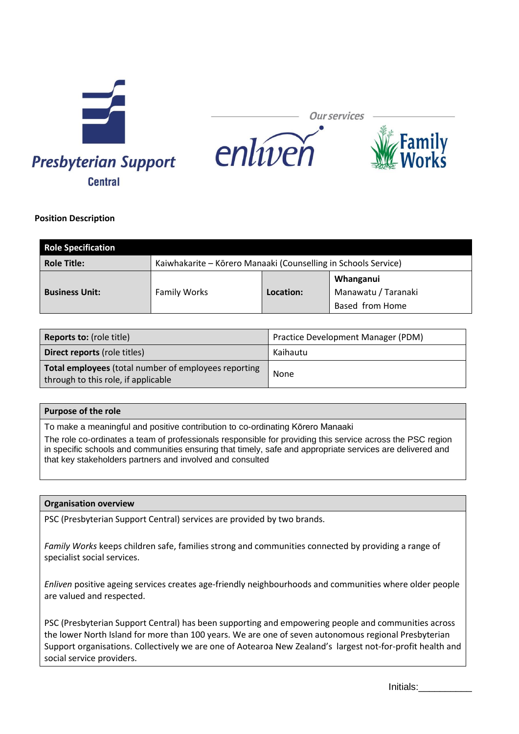

**Our services** 



## **Position Description**

| <b>Role Specification</b> |                                                                |           |                                                     |
|---------------------------|----------------------------------------------------------------|-----------|-----------------------------------------------------|
| <b>Role Title:</b>        | Kaiwhakarite – Kōrero Manaaki (Counselling in Schools Service) |           |                                                     |
| <b>Business Unit:</b>     | <b>Family Works</b>                                            | Location: | Whanganui<br>Manawatu / Taranaki<br>Based from Home |

enlíveň

| <b>Reports to: (role title)</b>                                                             | Practice Development Manager (PDM) |  |
|---------------------------------------------------------------------------------------------|------------------------------------|--|
| <b>Direct reports (role titles)</b>                                                         | Kaihautu                           |  |
| Total employees (total number of employees reporting<br>through to this role, if applicable | None                               |  |

# **Purpose of the role**

To make a meaningful and positive contribution to co-ordinating Kōrero Manaaki

The role co-ordinates a team of professionals responsible for providing this service across the PSC region in specific schools and communities ensuring that timely, safe and appropriate services are delivered and that key stakeholders partners and involved and consulted

#### **Organisation overview**

PSC (Presbyterian Support Central) services are provided by two brands.

*Family Works* keeps children safe, families strong and communities connected by providing a range of specialist social services.

*Enliven* positive ageing services creates age-friendly neighbourhoods and communities where older people are valued and respected.

PSC (Presbyterian Support Central) has been supporting and empowering people and communities across the lower North Island for more than 100 years. We are one of seven autonomous regional Presbyterian Support organisations. Collectively we are one of Aotearoa New Zealand's largest not-for-profit health and social service providers.

Initials:\_\_\_\_\_\_\_\_\_\_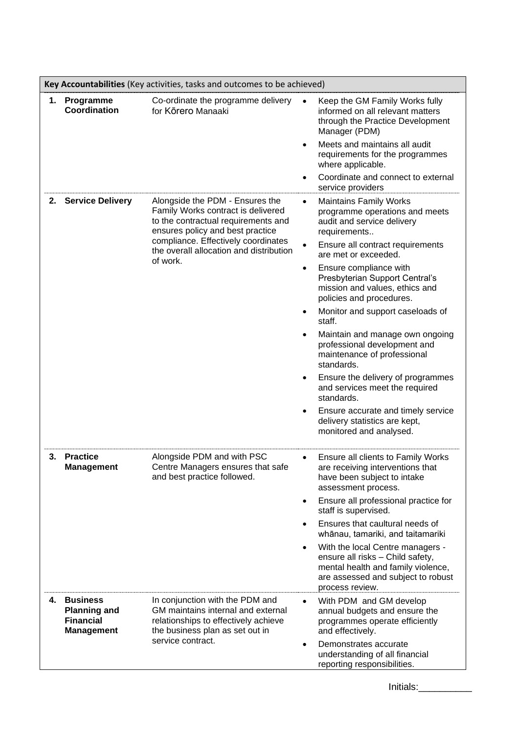|    | Key Accountabilities (Key activities, tasks and outcomes to be achieved)        |                                                                                                                                                                                                                                    |                                                                                   |                                                                                                                                                                                             |
|----|---------------------------------------------------------------------------------|------------------------------------------------------------------------------------------------------------------------------------------------------------------------------------------------------------------------------------|-----------------------------------------------------------------------------------|---------------------------------------------------------------------------------------------------------------------------------------------------------------------------------------------|
| 1. | Programme<br>Coordination                                                       | Co-ordinate the programme delivery<br>for Kōrero Manaaki                                                                                                                                                                           | $\bullet$                                                                         | Keep the GM Family Works fully<br>informed on all relevant matters<br>through the Practice Development<br>Manager (PDM)<br>Meets and maintains all audit<br>requirements for the programmes |
|    |                                                                                 |                                                                                                                                                                                                                                    | $\bullet$                                                                         | where applicable.<br>Coordinate and connect to external<br>service providers                                                                                                                |
|    | 2. Service Delivery                                                             | Alongside the PDM - Ensures the<br>Family Works contract is delivered<br>to the contractual requirements and<br>ensures policy and best practice<br>compliance. Effectively coordinates<br>the overall allocation and distribution | $\bullet$<br>$\bullet$                                                            | <b>Maintains Family Works</b><br>programme operations and meets<br>audit and service delivery<br>requirements<br>Ensure all contract requirements                                           |
|    |                                                                                 | of work.                                                                                                                                                                                                                           | $\bullet$                                                                         | are met or exceeded.<br>Ensure compliance with<br>Presbyterian Support Central's<br>mission and values, ethics and<br>policies and procedures.                                              |
|    |                                                                                 | staff.                                                                                                                                                                                                                             | Monitor and support caseloads of                                                  |                                                                                                                                                                                             |
|    |                                                                                 |                                                                                                                                                                                                                                    | $\bullet$                                                                         | Maintain and manage own ongoing<br>professional development and<br>maintenance of professional<br>standards.                                                                                |
|    |                                                                                 | $\bullet$                                                                                                                                                                                                                          | Ensure the delivery of programmes<br>and services meet the required<br>standards. |                                                                                                                                                                                             |
|    |                                                                                 |                                                                                                                                                                                                                                    | ٠                                                                                 | Ensure accurate and timely service<br>delivery statistics are kept,<br>monitored and analysed.                                                                                              |
| 3. | <b>Practice</b><br>Management                                                   | Alongside PDM and with PSC<br>Centre Managers ensures that safe<br>and best practice followed.                                                                                                                                     | $\bullet$                                                                         | Ensure all clients to Family Works<br>are receiving interventions that<br>have been subject to intake<br>assessment process.                                                                |
|    |                                                                                 |                                                                                                                                                                                                                                    | $\bullet$                                                                         | Ensure all professional practice for<br>staff is supervised.                                                                                                                                |
|    |                                                                                 |                                                                                                                                                                                                                                    |                                                                                   | Ensures that caultural needs of<br>whānau, tamariki, and taitamariki                                                                                                                        |
|    |                                                                                 |                                                                                                                                                                                                                                    | ٠                                                                                 | With the local Centre managers -<br>ensure all risks - Child safety,<br>mental health and family violence,<br>are assessed and subject to robust<br>process review.                         |
| 4. | <b>Business</b><br><b>Planning and</b><br><b>Financial</b><br><b>Management</b> | In conjunction with the PDM and<br>GM maintains internal and external<br>relationships to effectively achieve<br>the business plan as set out in<br>service contract.                                                              | $\bullet$<br>٠                                                                    | With PDM and GM develop<br>annual budgets and ensure the<br>programmes operate efficiently<br>and effectively.<br>Demonstrates accurate                                                     |
|    |                                                                                 |                                                                                                                                                                                                                                    |                                                                                   | understanding of all financial<br>reporting responsibilities.                                                                                                                               |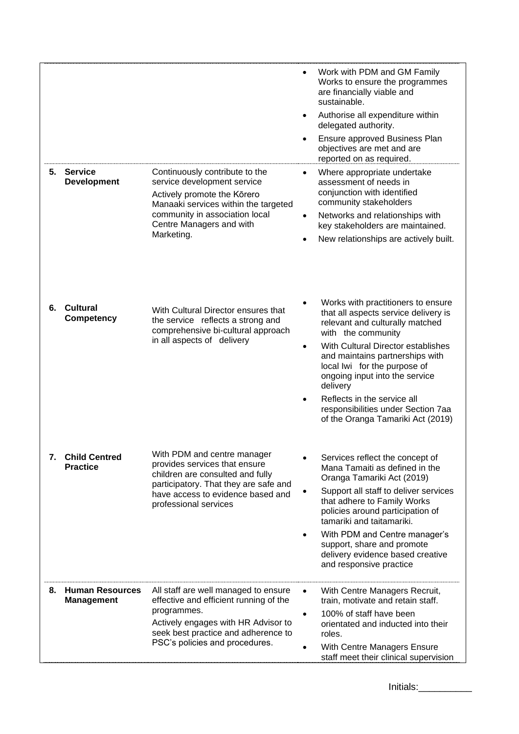|    | 5. Service<br><b>Development</b>        | Continuously contribute to the<br>service development service<br>Actively promote the Kōrero<br>Manaaki services within the targeted<br>community in association local<br>Centre Managers and with<br>Marketing. | Work with PDM and GM Family<br>$\bullet$<br>Works to ensure the programmes<br>are financially viable and<br>sustainable.<br>Authorise all expenditure within<br>$\bullet$<br>delegated authority.<br>Ensure approved Business Plan<br>objectives are met and are<br>reported on as required.<br>Where appropriate undertake<br>$\bullet$<br>assessment of needs in<br>conjunction with identified<br>community stakeholders<br>Networks and relationships with<br>$\bullet$<br>key stakeholders are maintained.<br>New relationships are actively built. |
|----|-----------------------------------------|------------------------------------------------------------------------------------------------------------------------------------------------------------------------------------------------------------------|----------------------------------------------------------------------------------------------------------------------------------------------------------------------------------------------------------------------------------------------------------------------------------------------------------------------------------------------------------------------------------------------------------------------------------------------------------------------------------------------------------------------------------------------------------|
|    | 6. Cultural<br><b>Competency</b>        | With Cultural Director ensures that<br>the service reflects a strong and<br>comprehensive bi-cultural approach<br>in all aspects of delivery                                                                     | Works with practitioners to ensure<br>that all aspects service delivery is<br>relevant and culturally matched<br>with the community<br>With Cultural Director establishes<br>$\bullet$<br>and maintains partnerships with<br>local lwi for the purpose of<br>ongoing input into the service<br>delivery<br>Reflects in the service all<br>$\bullet$<br>responsibilities under Section 7aa<br>of the Oranga Tamariki Act (2019)                                                                                                                           |
| 7. | <b>Child Centred</b><br><b>Practice</b> | With PDM and centre manager<br>provides services that ensure<br>children are consulted and fully<br>participatory. That they are safe and<br>have access to evidence based and<br>professional services          | Services reflect the concept of<br>Mana Tamaiti as defined in the<br>Oranga Tamariki Act (2019)<br>Support all staff to deliver services<br>that adhere to Family Works<br>policies around participation of<br>tamariki and taitamariki.<br>With PDM and Centre manager's<br>$\bullet$<br>support, share and promote<br>delivery evidence based creative<br>and responsive practice                                                                                                                                                                      |
|    | 8. Human Resources<br><b>Management</b> | All staff are well managed to ensure<br>effective and efficient running of the<br>programmes.<br>Actively engages with HR Advisor to<br>seek best practice and adherence to<br>PSC's policies and procedures.    | With Centre Managers Recruit,<br>$\bullet$<br>train, motivate and retain staff.<br>100% of staff have been<br>$\bullet$<br>orientated and inducted into their<br>roles.<br>With Centre Managers Ensure<br>staff meet their clinical supervision                                                                                                                                                                                                                                                                                                          |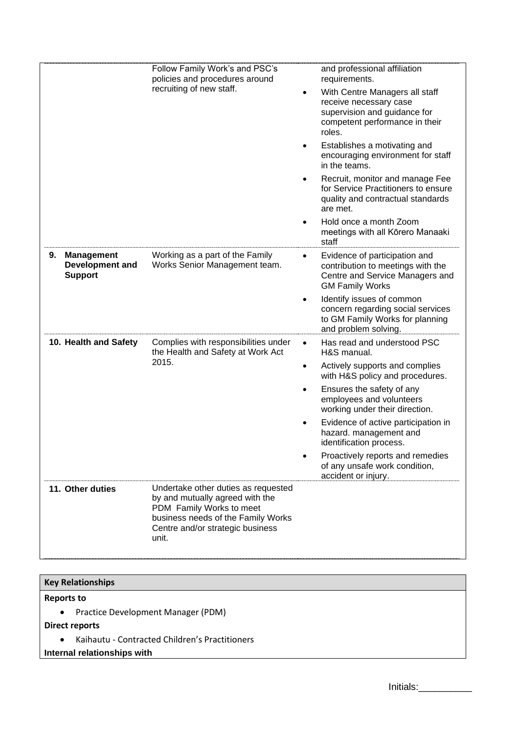|                                                              | Follow Family Work's and PSC's<br>policies and procedures around                                                                                                                      | and professional affiliation<br>requirements.                                                                                                     |
|--------------------------------------------------------------|---------------------------------------------------------------------------------------------------------------------------------------------------------------------------------------|---------------------------------------------------------------------------------------------------------------------------------------------------|
|                                                              | recruiting of new staff.                                                                                                                                                              | With Centre Managers all staff<br>$\bullet$<br>receive necessary case<br>supervision and guidance for<br>competent performance in their<br>roles. |
|                                                              |                                                                                                                                                                                       | Establishes a motivating and<br>٠<br>encouraging environment for staff<br>in the teams.                                                           |
|                                                              |                                                                                                                                                                                       | Recruit, monitor and manage Fee<br>$\bullet$<br>for Service Practitioners to ensure<br>quality and contractual standards<br>are met.              |
|                                                              |                                                                                                                                                                                       | Hold once a month Zoom<br>meetings with all Körero Manaaki<br>staff                                                                               |
| <b>Management</b><br>9.<br>Development and<br><b>Support</b> | Working as a part of the Family<br>Works Senior Management team.                                                                                                                      | Evidence of participation and<br>$\bullet$<br>contribution to meetings with the<br>Centre and Service Managers and<br><b>GM Family Works</b>      |
|                                                              |                                                                                                                                                                                       | Identify issues of common<br>$\bullet$<br>concern regarding social services<br>to GM Family Works for planning<br>and problem solving.            |
| 10. Health and Safety                                        | Complies with responsibilities under<br>the Health and Safety at Work Act                                                                                                             | Has read and understood PSC<br>$\bullet$<br>H&S manual.                                                                                           |
|                                                              | 2015.                                                                                                                                                                                 | Actively supports and complies<br>$\bullet$<br>with H&S policy and procedures.                                                                    |
|                                                              |                                                                                                                                                                                       | Ensures the safety of any<br>employees and volunteers<br>working under their direction.                                                           |
|                                                              |                                                                                                                                                                                       | Evidence of active participation in<br>hazard. management and<br>identification process.                                                          |
|                                                              |                                                                                                                                                                                       | Proactively reports and remedies<br>of any unsafe work condition,<br>accident or injury.                                                          |
| 11. Other duties                                             | Undertake other duties as requested<br>by and mutually agreed with the<br>PDM Family Works to meet<br>business needs of the Family Works<br>Centre and/or strategic business<br>unit. |                                                                                                                                                   |

# **Key Relationships**

# **Reports to**

• Practice Development Manager (PDM)

# **Direct reports**

• Kaihautu - Contracted Children's Practitioners

# **Internal relationships with**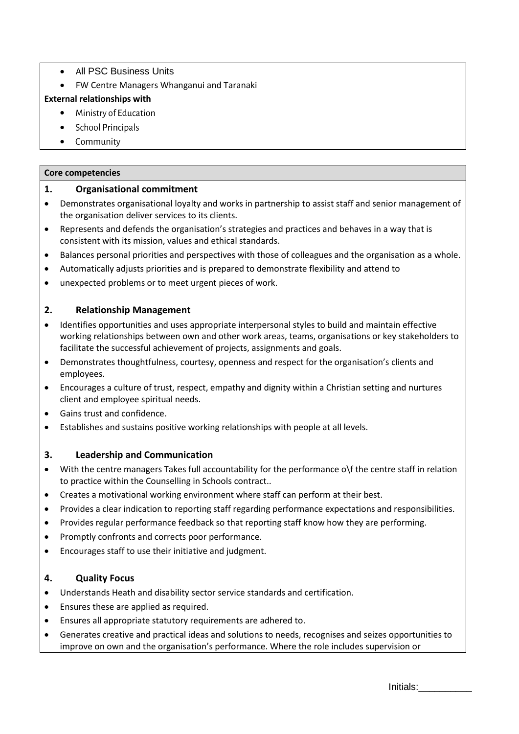- All PSC Business Units
- FW Centre Managers Whanganui and Taranaki

## **External relationships with**

- Ministry of Education
- School Principals
- Community

#### **Core competencies**

## **1. Organisational commitment**

- Demonstrates organisational loyalty and works in partnership to assist staff and senior management of the organisation deliver services to its clients.
- Represents and defends the organisation's strategies and practices and behaves in a way that is consistent with its mission, values and ethical standards.
- Balances personal priorities and perspectives with those of colleagues and the organisation as a whole.
- Automatically adjusts priorities and is prepared to demonstrate flexibility and attend to
- unexpected problems or to meet urgent pieces of work.

# **2. Relationship Management**

- Identifies opportunities and uses appropriate interpersonal styles to build and maintain effective working relationships between own and other work areas, teams, organisations or key stakeholders to facilitate the successful achievement of projects, assignments and goals.
- Demonstrates thoughtfulness, courtesy, openness and respect for the organisation's clients and employees.
- Encourages a culture of trust, respect, empathy and dignity within a Christian setting and nurtures client and employee spiritual needs.
- Gains trust and confidence.
- Establishes and sustains positive working relationships with people at all levels.

# **3. Leadership and Communication**

- With the centre managers Takes full accountability for the performance o\f the centre staff in relation to practice within the Counselling in Schools contract..
- Creates a motivational working environment where staff can perform at their best.
- Provides a clear indication to reporting staff regarding performance expectations and responsibilities.
- Provides regular performance feedback so that reporting staff know how they are performing.
- Promptly confronts and corrects poor performance.
- Encourages staff to use their initiative and judgment.

# **4. Quality Focus**

- Understands Heath and disability sector service standards and certification.
- Ensures these are applied as required.
- Ensures all appropriate statutory requirements are adhered to.
- Generates creative and practical ideas and solutions to needs, recognises and seizes opportunities to improve on own and the organisation's performance. Where the role includes supervision or

Initials:\_\_\_\_\_\_\_\_\_\_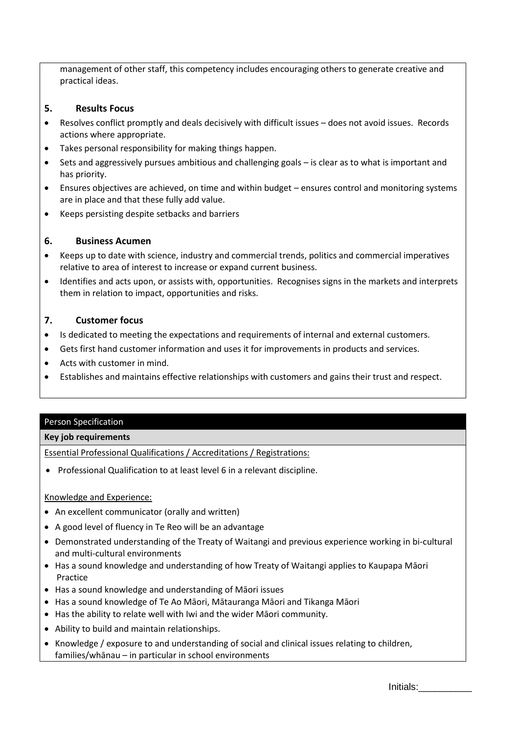management of other staff, this competency includes encouraging others to generate creative and practical ideas.

## **5. Results Focus**

- Resolves conflict promptly and deals decisively with difficult issues does not avoid issues. Records actions where appropriate.
- Takes personal responsibility for making things happen.
- Sets and aggressively pursues ambitious and challenging goals is clear as to what is important and has priority.
- Ensures objectives are achieved, on time and within budget ensures control and monitoring systems are in place and that these fully add value.
- Keeps persisting despite setbacks and barriers

# **6. Business Acumen**

- Keeps up to date with science, industry and commercial trends, politics and commercial imperatives relative to area of interest to increase or expand current business.
- Identifies and acts upon, or assists with, opportunities. Recognises signs in the markets and interprets them in relation to impact, opportunities and risks.

## **7. Customer focus**

- Is dedicated to meeting the expectations and requirements of internal and external customers.
- Gets first hand customer information and uses it for improvements in products and services.
- Acts with customer in mind.
- Establishes and maintains effective relationships with customers and gains their trust and respect.

#### Person Specification

#### **Key job requirements**

Essential Professional Qualifications / Accreditations / Registrations:

• Professional Qualification to at least level 6 in a relevant discipline.

#### Knowledge and Experience:

- An excellent communicator (orally and written)
- A good level of fluency in Te Reo will be an advantage
- Demonstrated understanding of the Treaty of Waitangi and previous experience working in bi-cultural and multi-cultural environments
- Has a sound knowledge and understanding of how Treaty of Waitangi applies to Kaupapa Māori Practice
- Has a sound knowledge and understanding of Māori issues
- Has a sound knowledge of Te Ao Māori, Mātauranga Māori and Tikanga Māori
- Has the ability to relate well with Iwi and the wider Māori community.
- Ability to build and maintain relationships.
- Knowledge / exposure to and understanding of social and clinical issues relating to children, families/whānau – in particular in school environments